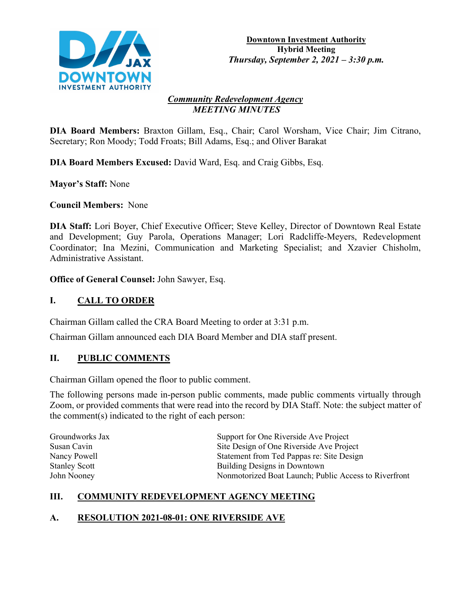

#### *Community Redevelopment Agency MEETING MINUTES*

**DIA Board Members:** Braxton Gillam, Esq., Chair; Carol Worsham, Vice Chair; Jim Citrano, Secretary; Ron Moody; Todd Froats; Bill Adams, Esq.; and Oliver Barakat

**DIA Board Members Excused:** David Ward, Esq. and Craig Gibbs, Esq.

**Mayor's Staff:** None

**Council Members:** None

**DIA Staff:** Lori Boyer, Chief Executive Officer; Steve Kelley, Director of Downtown Real Estate and Development; Guy Parola, Operations Manager; Lori Radcliffe-Meyers, Redevelopment Coordinator; Ina Mezini, Communication and Marketing Specialist; and Xzavier Chisholm, Administrative Assistant.

**Office of General Counsel:** John Sawyer, Esq.

# **I. CALL TO ORDER**

Chairman Gillam called the CRA Board Meeting to order at 3:31 p.m.

Chairman Gillam announced each DIA Board Member and DIA staff present.

## **II. PUBLIC COMMENTS**

Chairman Gillam opened the floor to public comment.

The following persons made in-person public comments, made public comments virtually through Zoom, or provided comments that were read into the record by DIA Staff. Note: the subject matter of the comment(s) indicated to the right of each person:

| Groundworks Jax      | Support for One Riverside Ave Project                 |
|----------------------|-------------------------------------------------------|
| Susan Cavin          | Site Design of One Riverside Ave Project              |
| Nancy Powell         | Statement from Ted Pappas re: Site Design             |
| <b>Stanley Scott</b> | Building Designs in Downtown                          |
| John Nooney          | Nonmotorized Boat Launch; Public Access to Riverfront |

## **III. COMMUNITY REDEVELOPMENT AGENCY MEETING**

## **A. RESOLUTION 2021-08-01: ONE RIVERSIDE AVE**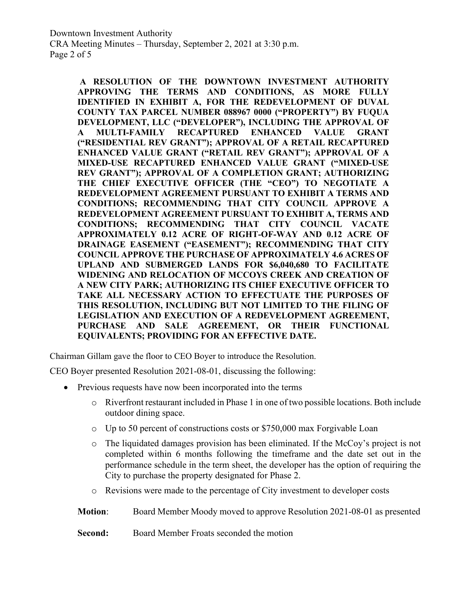**A RESOLUTION OF THE DOWNTOWN INVESTMENT AUTHORITY APPROVING THE TERMS AND CONDITIONS, AS MORE FULLY IDENTIFIED IN EXHIBIT A, FOR THE REDEVELOPMENT OF DUVAL COUNTY TAX PARCEL NUMBER 088967 0000 ("PROPERTY") BY FUQUA DEVELOPMENT, LLC ("DEVELOPER"), INCLUDING THE APPROVAL OF A MULTI-FAMILY RECAPTURED ENHANCED VALUE GRANT ("RESIDENTIAL REV GRANT"); APPROVAL OF A RETAIL RECAPTURED ENHANCED VALUE GRANT ("RETAIL REV GRANT"); APPROVAL OF A MIXED-USE RECAPTURED ENHANCED VALUE GRANT ("MIXED-USE REV GRANT"); APPROVAL OF A COMPLETION GRANT; AUTHORIZING THE CHIEF EXECUTIVE OFFICER (THE "CEO") TO NEGOTIATE A REDEVELOPMENT AGREEMENT PURSUANT TO EXHIBIT A TERMS AND CONDITIONS; RECOMMENDING THAT CITY COUNCIL APPROVE A REDEVELOPMENT AGREEMENT PURSUANT TO EXHIBIT A, TERMS AND CONDITIONS; RECOMMENDING THAT CITY COUNCIL VACATE APPROXIMATELY 0.12 ACRE OF RIGHT-OF-WAY AND 0.12 ACRE OF DRAINAGE EASEMENT ("EASEMENT"); RECOMMENDING THAT CITY COUNCIL APPROVE THE PURCHASE OF APPROXIMATELY 4.6 ACRES OF UPLAND AND SUBMERGED LANDS FOR \$6,040,680 TO FACILITATE WIDENING AND RELOCATION OF MCCOYS CREEK AND CREATION OF A NEW CITY PARK; AUTHORIZING ITS CHIEF EXECUTIVE OFFICER TO TAKE ALL NECESSARY ACTION TO EFFECTUATE THE PURPOSES OF THIS RESOLUTION, INCLUDING BUT NOT LIMITED TO THE FILING OF LEGISLATION AND EXECUTION OF A REDEVELOPMENT AGREEMENT, PURCHASE AND SALE AGREEMENT, OR THEIR FUNCTIONAL EQUIVALENTS; PROVIDING FOR AN EFFECTIVE DATE.**

Chairman Gillam gave the floor to CEO Boyer to introduce the Resolution.

CEO Boyer presented Resolution 2021-08-01, discussing the following:

- Previous requests have now been incorporated into the terms
	- o Riverfront restaurant included in Phase 1 in one of two possible locations. Both include outdoor dining space.
	- o Up to 50 percent of constructions costs or \$750,000 max Forgivable Loan
	- o The liquidated damages provision has been eliminated. If the McCoy's project is not completed within 6 months following the timeframe and the date set out in the performance schedule in the term sheet, the developer has the option of requiring the City to purchase the property designated for Phase 2.
	- o Revisions were made to the percentage of City investment to developer costs
	- **Motion**: Board Member Moody moved to approve Resolution 2021-08-01 as presented

**Second:** Board Member Froats seconded the motion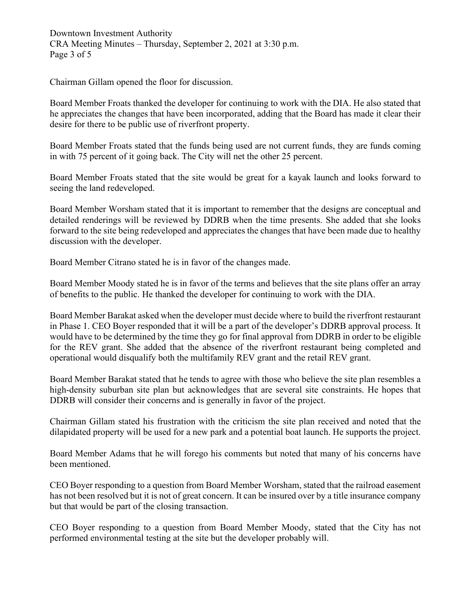Downtown Investment Authority CRA Meeting Minutes – Thursday, September 2, 2021 at 3:30 p.m. Page 3 of 5

Chairman Gillam opened the floor for discussion.

Board Member Froats thanked the developer for continuing to work with the DIA. He also stated that he appreciates the changes that have been incorporated, adding that the Board has made it clear their desire for there to be public use of riverfront property.

Board Member Froats stated that the funds being used are not current funds, they are funds coming in with 75 percent of it going back. The City will net the other 25 percent.

Board Member Froats stated that the site would be great for a kayak launch and looks forward to seeing the land redeveloped.

Board Member Worsham stated that it is important to remember that the designs are conceptual and detailed renderings will be reviewed by DDRB when the time presents. She added that she looks forward to the site being redeveloped and appreciates the changes that have been made due to healthy discussion with the developer.

Board Member Citrano stated he is in favor of the changes made.

Board Member Moody stated he is in favor of the terms and believes that the site plans offer an array of benefits to the public. He thanked the developer for continuing to work with the DIA.

Board Member Barakat asked when the developer must decide where to build the riverfront restaurant in Phase 1. CEO Boyer responded that it will be a part of the developer's DDRB approval process. It would have to be determined by the time they go for final approval from DDRB in order to be eligible for the REV grant. She added that the absence of the riverfront restaurant being completed and operational would disqualify both the multifamily REV grant and the retail REV grant.

Board Member Barakat stated that he tends to agree with those who believe the site plan resembles a high-density suburban site plan but acknowledges that are several site constraints. He hopes that DDRB will consider their concerns and is generally in favor of the project.

Chairman Gillam stated his frustration with the criticism the site plan received and noted that the dilapidated property will be used for a new park and a potential boat launch. He supports the project.

Board Member Adams that he will forego his comments but noted that many of his concerns have been mentioned.

CEO Boyer responding to a question from Board Member Worsham, stated that the railroad easement has not been resolved but it is not of great concern. It can be insured over by a title insurance company but that would be part of the closing transaction.

CEO Boyer responding to a question from Board Member Moody, stated that the City has not performed environmental testing at the site but the developer probably will.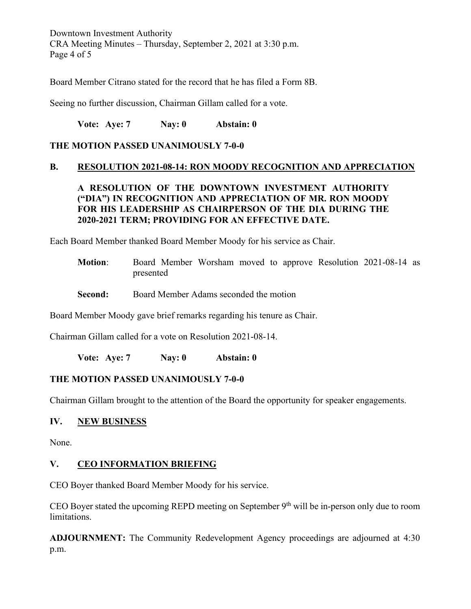Downtown Investment Authority CRA Meeting Minutes – Thursday, September 2, 2021 at 3:30 p.m. Page 4 of 5

Board Member Citrano stated for the record that he has filed a Form 8B.

Seeing no further discussion, Chairman Gillam called for a vote.

**Vote: Aye: 7 Nay: 0 Abstain: 0**

### **THE MOTION PASSED UNANIMOUSLY 7-0-0**

#### **B. RESOLUTION 2021-08-14: RON MOODY RECOGNITION AND APPRECIATION**

## **A RESOLUTION OF THE DOWNTOWN INVESTMENT AUTHORITY ("DIA") IN RECOGNITION AND APPRECIATION OF MR. RON MOODY FOR HIS LEADERSHIP AS CHAIRPERSON OF THE DIA DURING THE 2020-2021 TERM; PROVIDING FOR AN EFFECTIVE DATE.**

Each Board Member thanked Board Member Moody for his service as Chair.

- **Motion**: Board Member Worsham moved to approve Resolution 2021-08-14 as presented
- **Second:** Board Member Adams seconded the motion

Board Member Moody gave brief remarks regarding his tenure as Chair.

Chairman Gillam called for a vote on Resolution 2021-08-14.

**Vote: Aye: 7 Nay: 0 Abstain: 0**

#### **THE MOTION PASSED UNANIMOUSLY 7-0-0**

Chairman Gillam brought to the attention of the Board the opportunity for speaker engagements.

#### **IV. NEW BUSINESS**

None.

## **V. CEO INFORMATION BRIEFING**

CEO Boyer thanked Board Member Moody for his service.

CEO Boyer stated the upcoming REPD meeting on September 9<sup>th</sup> will be in-person only due to room limitations.

**ADJOURNMENT:** The Community Redevelopment Agency proceedings are adjourned at 4:30 p.m.